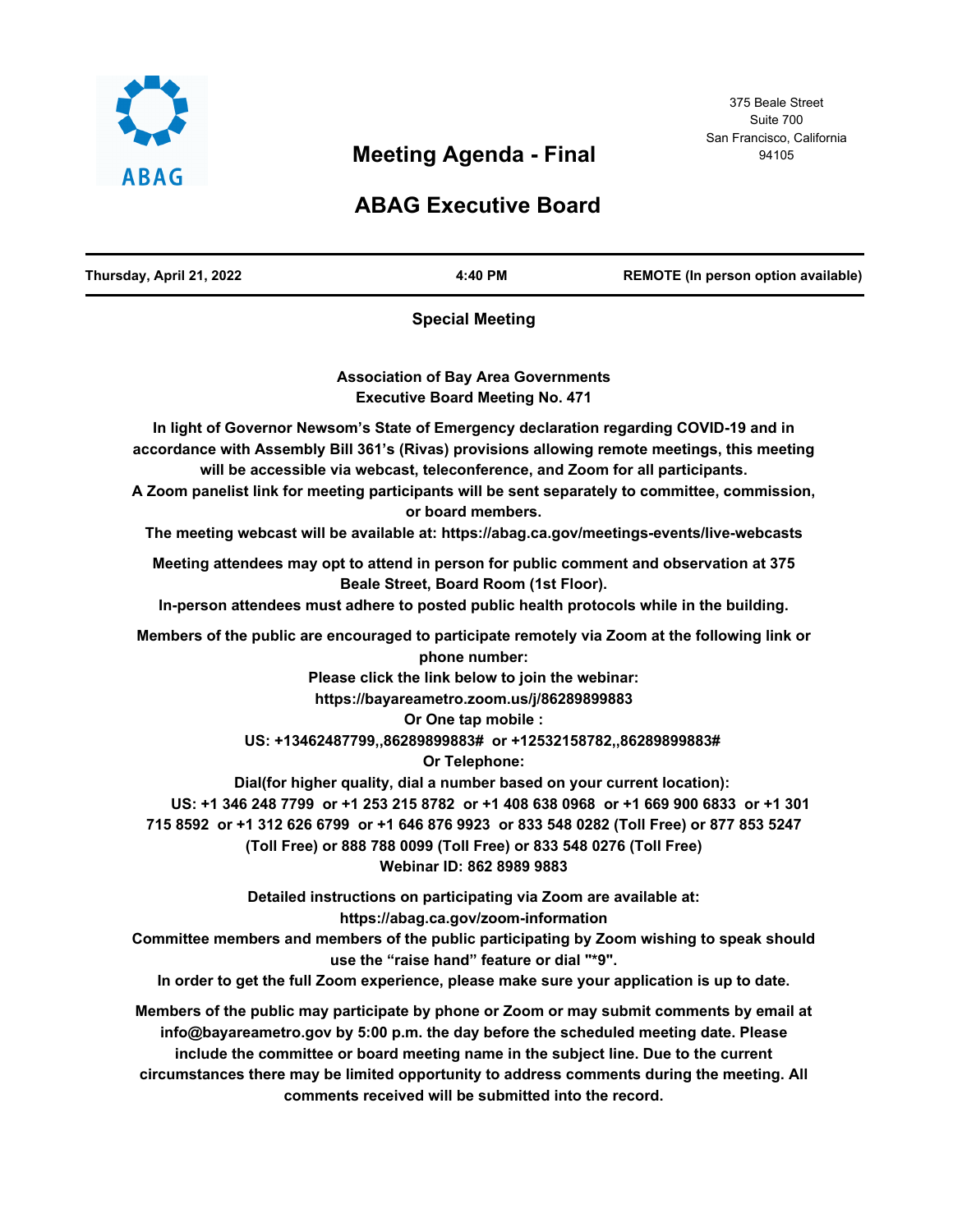

# **Meeting Agenda - Final**

#### 375 Beale Street Suite 700 San Francisco, California 94105

## **ABAG Executive Board**

| Thursday, April 21, 2022                                                                      | 4:40 PM                                                                                                                                                                                                                                                                                                                                                                                                | REMOTE (In person option available)                                                                                                                                                                                                                                                      |
|-----------------------------------------------------------------------------------------------|--------------------------------------------------------------------------------------------------------------------------------------------------------------------------------------------------------------------------------------------------------------------------------------------------------------------------------------------------------------------------------------------------------|------------------------------------------------------------------------------------------------------------------------------------------------------------------------------------------------------------------------------------------------------------------------------------------|
|                                                                                               | <b>Special Meeting</b>                                                                                                                                                                                                                                                                                                                                                                                 |                                                                                                                                                                                                                                                                                          |
|                                                                                               | <b>Association of Bay Area Governments</b><br><b>Executive Board Meeting No. 471</b>                                                                                                                                                                                                                                                                                                                   |                                                                                                                                                                                                                                                                                          |
| accordance with Assembly Bill 361's (Rivas) provisions allowing remote meetings, this meeting | will be accessible via webcast, teleconference, and Zoom for all participants.<br>or board members.                                                                                                                                                                                                                                                                                                    | In light of Governor Newsom's State of Emergency declaration regarding COVID-19 and in<br>A Zoom panelist link for meeting participants will be sent separately to committee, commission,<br>The meeting webcast will be available at: https://abag.ca.gov/meetings-events/live-webcasts |
| In-person attendees must adhere to posted public health protocols while in the building.      | Beale Street, Board Room (1st Floor).                                                                                                                                                                                                                                                                                                                                                                  | Meeting attendees may opt to attend in person for public comment and observation at 375                                                                                                                                                                                                  |
|                                                                                               | phone number:<br>Please click the link below to join the webinar:<br>https://bayareametro.zoom.us/j/86289899883<br>Or One tap mobile :<br>US: +13462487799,,86289899883# or +12532158782,,86289899883#<br>Or Telephone:<br>Dial(for higher quality, dial a number based on your current location):<br>(Toll Free) or 888 788 0099 (Toll Free) or 833 548 0276 (Toll Free)<br>Webinar ID: 862 8989 9883 | Members of the public are encouraged to participate remotely via Zoom at the following link or<br>US: +1 346 248 7799 or +1 253 215 8782 or +1 408 638 0968 or +1 669 900 6833 or +1 301<br>715 8592 or +1 312 626 6799 or +1 646 876 9923 or 833 548 0282 (Toll Free) or 877 853 5247   |
|                                                                                               | Detailed instructions on participating via Zoom are available at:<br>https://abag.ca.gov/zoom-information<br>use the "raise hand" feature or dial "*9".                                                                                                                                                                                                                                                | Committee members and members of the public participating by Zoom wishing to speak should<br>In order to get the full Zoom experience, please make sure your application is up to date.                                                                                                  |
|                                                                                               |                                                                                                                                                                                                                                                                                                                                                                                                        | Members of the public may participate by phone or Zoom or may submit comments by email at<br>info@bayareametro.gov by 5:00 p.m. the day before the scheduled meeting date. Please<br>include the committee or board meeting name in the subject line. Due to the current                 |

**circumstances there may be limited opportunity to address comments during the meeting. All comments received will be submitted into the record.**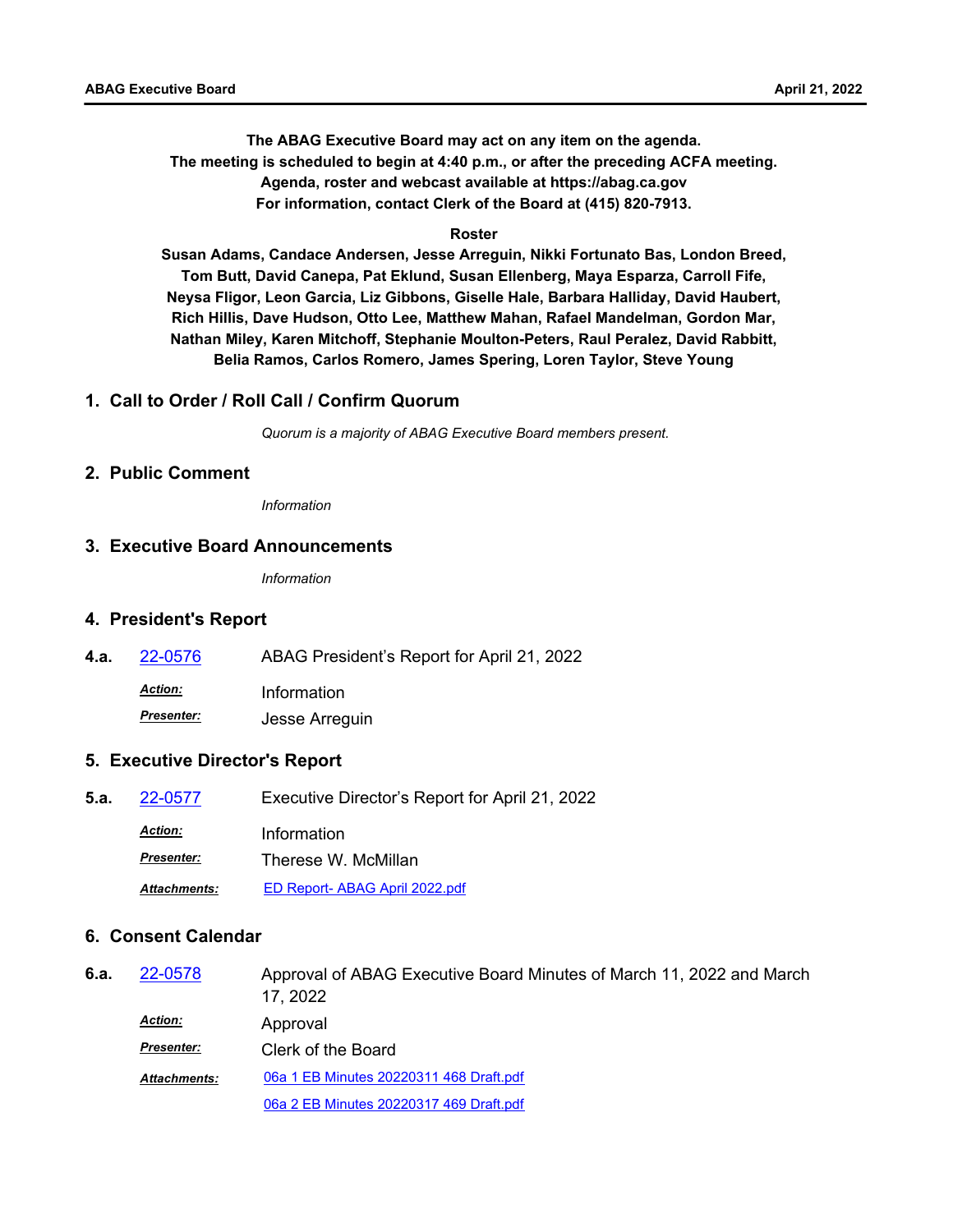**The ABAG Executive Board may act on any item on the agenda. The meeting is scheduled to begin at 4:40 p.m., or after the preceding ACFA meeting. Agenda, roster and webcast available at https://abag.ca.gov For information, contact Clerk of the Board at (415) 820-7913.**

#### **Roster**

**Susan Adams, Candace Andersen, Jesse Arreguin, Nikki Fortunato Bas, London Breed, Tom Butt, David Canepa, Pat Eklund, Susan Ellenberg, Maya Esparza, Carroll Fife, Neysa Fligor, Leon Garcia, Liz Gibbons, Giselle Hale, Barbara Halliday, David Haubert, Rich Hillis, Dave Hudson, Otto Lee, Matthew Mahan, Rafael Mandelman, Gordon Mar, Nathan Miley, Karen Mitchoff, Stephanie Moulton-Peters, Raul Peralez, David Rabbitt, Belia Ramos, Carlos Romero, James Spering, Loren Taylor, Steve Young**

#### **1. Call to Order / Roll Call / Confirm Quorum**

*Quorum is a majority of ABAG Executive Board members present.*

#### **2. Public Comment**

*Information*

#### **3. Executive Board Announcements**

*Information*

#### **4. President's Report**

**4.a.** [22-0576](http://mtc.legistar.com/gateway.aspx?m=l&id=/matter.aspx?key=23835) ABAG President's Report for April 21, 2022

*Action:* Information

*Presenter:* Jesse Arreguin

#### **5. Executive Director's Report**

**5.a.** [22-0577](http://mtc.legistar.com/gateway.aspx?m=l&id=/matter.aspx?key=23836) Executive Director's Report for April 21, 2022 *Action:* Information *Presenter:* Therese W. McMillan *Attachments:* [ED Report- ABAG April 2022.pdf](http://mtc.legistar.com/gateway.aspx?M=F&ID=5b9133c5-4357-4e0f-a554-d731ae2decac.pdf)

#### **6. Consent Calendar**

| 6.a. | 22-0578             | Approval of ABAG Executive Board Minutes of March 11, 2022 and March<br>17, 2022 |
|------|---------------------|----------------------------------------------------------------------------------|
|      | <b>Action:</b>      | Approval                                                                         |
|      | <b>Presenter:</b>   | Clerk of the Board                                                               |
|      | <b>Attachments:</b> | 06a 1 EB Minutes 20220311 468 Draft.pdf                                          |
|      |                     | 06a 2 EB Minutes 20220317 469 Draft.pdf                                          |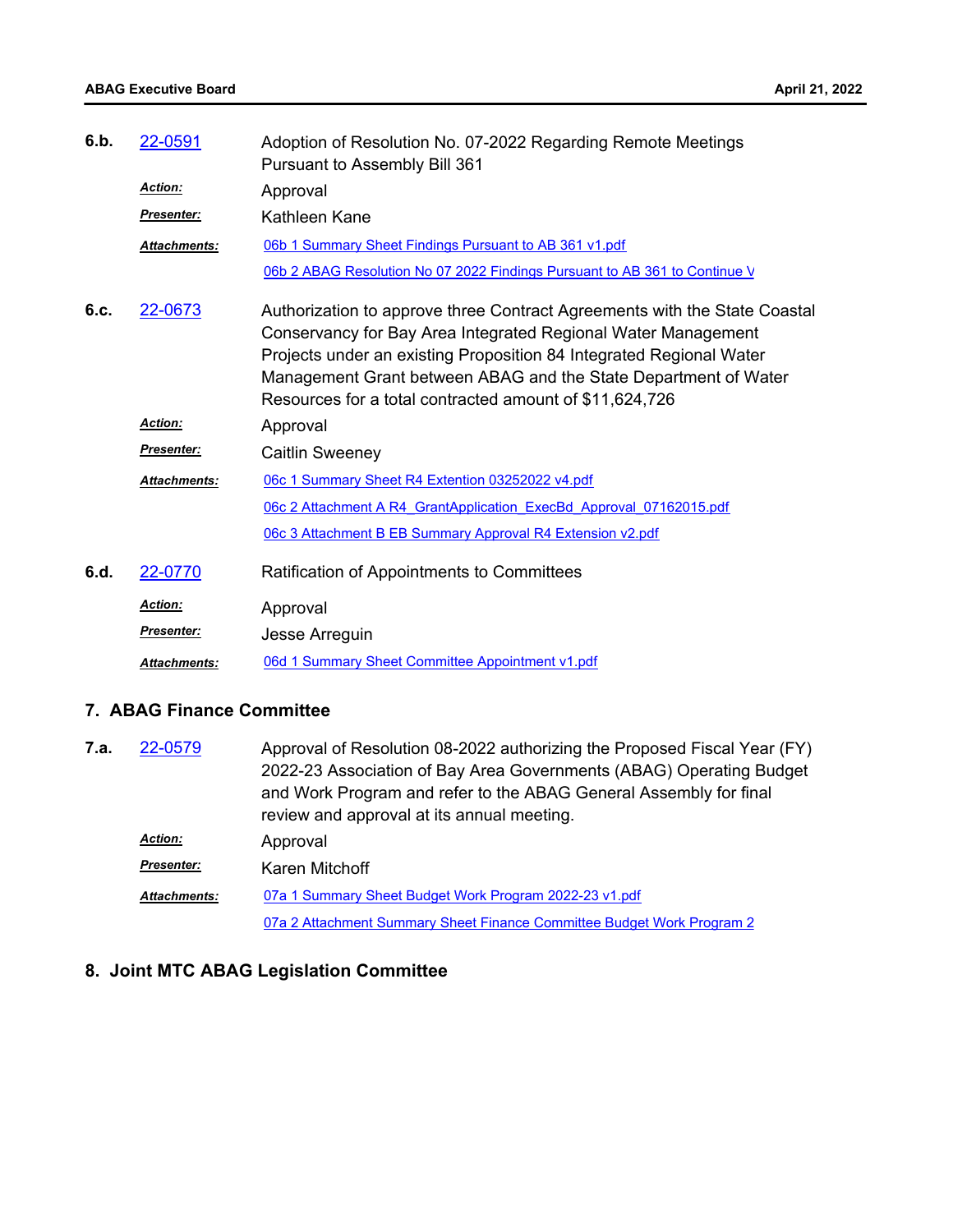| 6.b. | 22-0591             | Adoption of Resolution No. 07-2022 Regarding Remote Meetings<br>Pursuant to Assembly Bill 361                                                                                                                                                                                                                                                   |
|------|---------------------|-------------------------------------------------------------------------------------------------------------------------------------------------------------------------------------------------------------------------------------------------------------------------------------------------------------------------------------------------|
|      | Action:             | Approval                                                                                                                                                                                                                                                                                                                                        |
|      | <b>Presenter:</b>   | Kathleen Kane                                                                                                                                                                                                                                                                                                                                   |
|      | <b>Attachments:</b> | 06b 1 Summary Sheet Findings Pursuant to AB 361 v1.pdf                                                                                                                                                                                                                                                                                          |
|      |                     | 06b 2 ABAG Resolution No 07 2022 Findings Pursuant to AB 361 to Continue V                                                                                                                                                                                                                                                                      |
| 6.c. | 22-0673             | Authorization to approve three Contract Agreements with the State Coastal<br>Conservancy for Bay Area Integrated Regional Water Management<br>Projects under an existing Proposition 84 Integrated Regional Water<br>Management Grant between ABAG and the State Department of Water<br>Resources for a total contracted amount of \$11,624,726 |
|      | <b>Action:</b>      | Approval                                                                                                                                                                                                                                                                                                                                        |
|      | Presenter:          | <b>Caitlin Sweeney</b>                                                                                                                                                                                                                                                                                                                          |
|      | <b>Attachments:</b> | 06c 1 Summary Sheet R4 Extention 03252022 v4.pdf                                                                                                                                                                                                                                                                                                |
|      |                     | 06c 2 Attachment A R4 GrantApplication ExecBd Approval 07162015.pdf                                                                                                                                                                                                                                                                             |
|      |                     | 06c 3 Attachment B EB Summary Approval R4 Extension v2.pdf                                                                                                                                                                                                                                                                                      |
| 6.d. | 22-0770             | Ratification of Appointments to Committees                                                                                                                                                                                                                                                                                                      |
|      | <b>Action:</b>      | Approval                                                                                                                                                                                                                                                                                                                                        |
|      | <b>Presenter:</b>   | Jesse Arreguin                                                                                                                                                                                                                                                                                                                                  |
|      | <b>Attachments:</b> | 06d 1 Summary Sheet Committee Appointment v1.pdf                                                                                                                                                                                                                                                                                                |

### **7. ABAG Finance Committee**

| 7.a. | 22-0579             | Approval of Resolution 08-2022 authorizing the Proposed Fiscal Year (FY)<br>2022-23 Association of Bay Area Governments (ABAG) Operating Budget<br>and Work Program and refer to the ABAG General Assembly for final<br>review and approval at its annual meeting. |
|------|---------------------|--------------------------------------------------------------------------------------------------------------------------------------------------------------------------------------------------------------------------------------------------------------------|
|      | <b>Action:</b>      | Approval                                                                                                                                                                                                                                                           |
|      | <b>Presenter:</b>   | Karen Mitchoff                                                                                                                                                                                                                                                     |
|      | <b>Attachments:</b> | 07a 1 Summary Sheet Budget Work Program 2022-23 v1.pdf                                                                                                                                                                                                             |
|      |                     | 07a 2 Attachment Summary Sheet Finance Committee Budget Work Program 2                                                                                                                                                                                             |

### **8. Joint MTC ABAG Legislation Committee**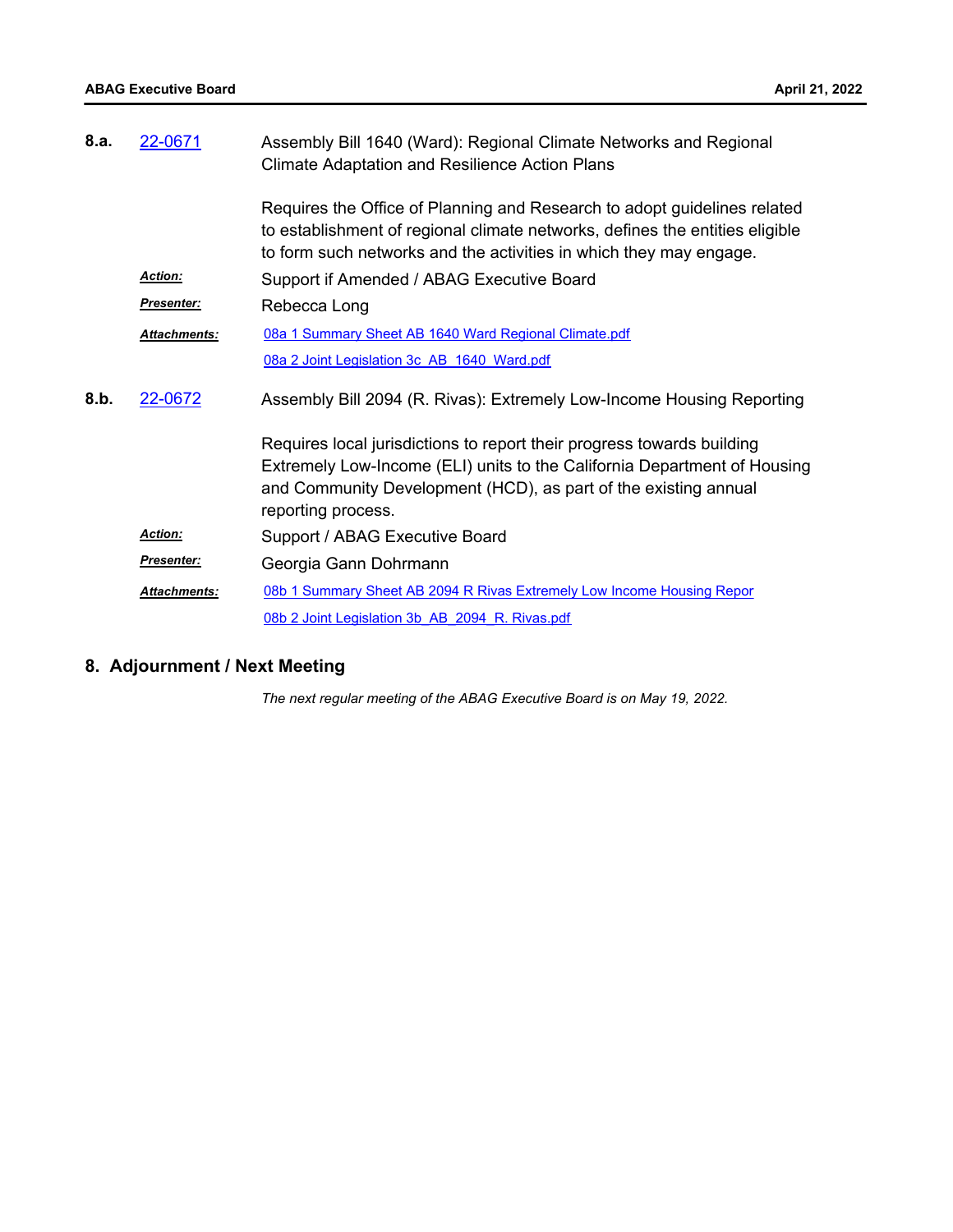| 8.a. | 22-0671             | Assembly Bill 1640 (Ward): Regional Climate Networks and Regional<br><b>Climate Adaptation and Resilience Action Plans</b>                                                                                                                  |
|------|---------------------|---------------------------------------------------------------------------------------------------------------------------------------------------------------------------------------------------------------------------------------------|
|      |                     | Requires the Office of Planning and Research to adopt guidelines related<br>to establishment of regional climate networks, defines the entities eligible<br>to form such networks and the activities in which they may engage.              |
|      | <b>Action:</b>      | Support if Amended / ABAG Executive Board                                                                                                                                                                                                   |
|      | Presenter:          | Rebecca Long                                                                                                                                                                                                                                |
|      | <b>Attachments:</b> | 08a 1 Summary Sheet AB 1640 Ward Regional Climate.pdf                                                                                                                                                                                       |
|      |                     | 08a 2 Joint Legislation 3c AB 1640 Ward.pdf                                                                                                                                                                                                 |
| 8.b. | 22-0672             | Assembly Bill 2094 (R. Rivas): Extremely Low-Income Housing Reporting                                                                                                                                                                       |
|      |                     | Requires local jurisdictions to report their progress towards building<br>Extremely Low-Income (ELI) units to the California Department of Housing<br>and Community Development (HCD), as part of the existing annual<br>reporting process. |
|      | <b>Action:</b>      | Support / ABAG Executive Board                                                                                                                                                                                                              |
|      | Presenter:          | Georgia Gann Dohrmann                                                                                                                                                                                                                       |
|      | <b>Attachments:</b> | 08b 1 Summary Sheet AB 2094 R Rivas Extremely Low Income Housing Repor                                                                                                                                                                      |
|      |                     | 08b 2 Joint Legislation 3b AB 2094 R. Rivas.pdf                                                                                                                                                                                             |

### **8. Adjournment / Next Meeting**

*The next regular meeting of the ABAG Executive Board is on May 19, 2022.*